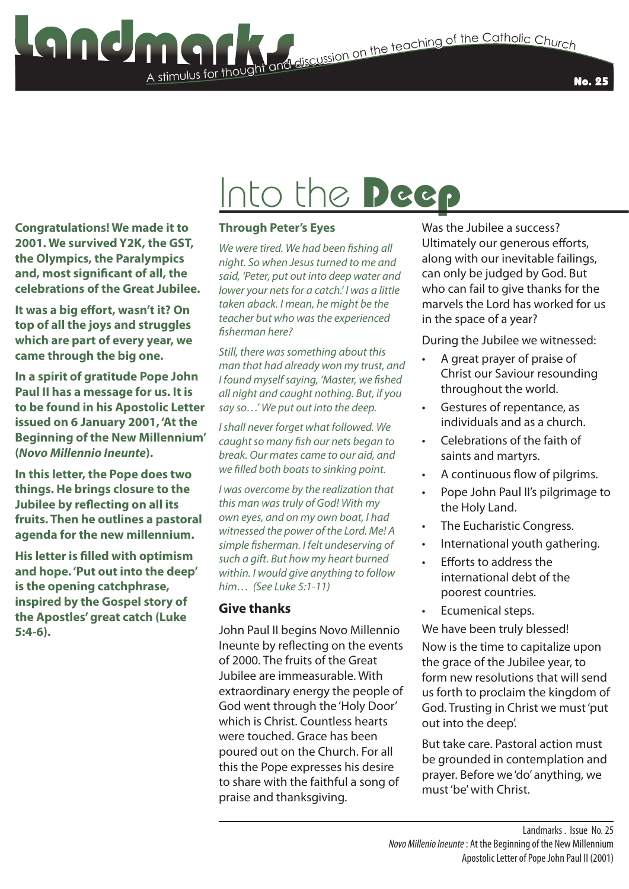**Stimulus for the Catholic Church**<br>The teaching of the Catholic Church<br>
The teaching of the Catholic Church

No. 25

# Into the Deep

**Congratulations! We made it to 2001. We survived Y2K, the GST, the Olympics, the Paralympics and, most significant of all, the celebrations of the Great Jubilee.**

**It was a big effort, wasn't it? On top of all the joys and struggles which are part of every year, we came through the big one.**

**In a spirit of gratitude Pope John Paul II has a message for us. It is to be found in his Apostolic Letter issued on 6 January 2001, 'At the Beginning of the New Millennium' (***Novo Millennio Ineunte***).**

**In this letter, the Pope does two things. He brings closure to the Jubilee by reflecting on all its fruits. Then he outlines a pastoral agenda for the new millennium.**

**His letter is filled with optimism and hope. 'Put out into the deep' is the opening catchphrase, inspired by the Gospel story of the Apostles' great catch (Luke 5:4-6).**

### **Through Peter's Eyes**

A stimulus for thought

*We were tired. We had been fishing all night. So when Jesus turned to me and said, 'Peter, put out into deep water and lower your nets for a catch.' I was a little taken aback. I mean, he might be the teacher but who was the experienced fisherman here?*

*Still, there was something about this man that had already won my trust, and I found myself saying, 'Master, we fished all night and caught nothing. But, if you say so…' We put out into the deep.*

*I shall never forget what followed. We caught so many fish our nets began to break. Our mates came to our aid, and we filled both boats to sinking point.*

*I was overcome by the realization that this man was truly of God! With my own eyes, and on my own boat, I had witnessed the power of the Lord. Me! A simple fisherman. I felt undeserving of such a gift. But how my heart burned within. I would give anything to follow him… (See Luke 5:1-11)*

# **Give thanks**

John Paul II begins Novo Millennio Ineunte by reflecting on the events of 2000. The fruits of the Great Jubilee are immeasurable. With extraordinary energy the people of God went through the 'Holy Door' which is Christ. Countless hearts were touched. Grace has been poured out on the Church. For all this the Pope expresses his desire to share with the faithful a song of praise and thanksgiving.

Was the Jubilee a success? Ultimately our generous efforts, along with our inevitable failings, can only be judged by God. But who can fail to give thanks for the marvels the Lord has worked for us in the space of a year?

During the Jubilee we witnessed:

- A great prayer of praise of Christ our Saviour resounding throughout the world.
- Gestures of repentance, as individuals and as a church.
- Celebrations of the faith of saints and martyrs.
- A continuous flow of pilgrims.
- Pope John Paul II's pilgrimage to the Holy Land.
- The Eucharistic Congress.
- International youth gathering.
- Efforts to address the international debt of the poorest countries.
- Ecumenical steps.

We have been truly blessed!

Now is the time to capitalize upon the grace of the Jubilee year, to form new resolutions that will send us forth to proclaim the kingdom of God. Trusting in Christ we must 'put out into the deep'.

But take care. Pastoral action must be grounded in contemplation and prayer. Before we 'do' anything, we must 'be' with Christ.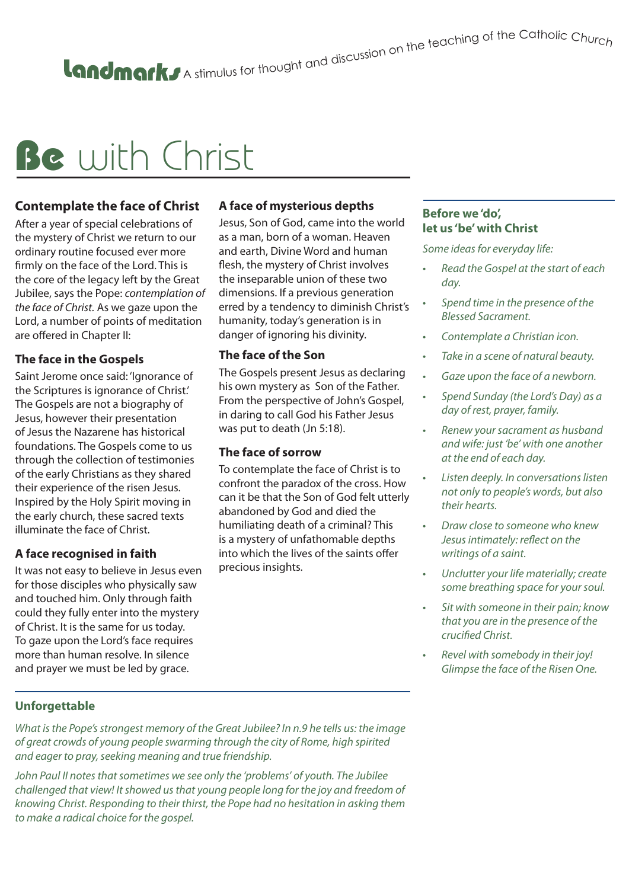A stimulus for thought and discussion on the teaching of the Catholic Churc<sub>h</sub>

# Be with Christ

# **Contemplate the face of Christ**

After a year of special celebrations of the mystery of Christ we return to our ordinary routine focused ever more firmly on the face of the Lord. This is the core of the legacy left by the Great Jubilee, says the Pope: *contemplation of the face of Christ.* As we gaze upon the Lord, a number of points of meditation are offered in Chapter II:

# **The face in the Gospels**

Saint Jerome once said: 'Ignorance of the Scriptures is ignorance of Christ.' The Gospels are not a biography of Jesus, however their presentation of Jesus the Nazarene has historical foundations. The Gospels come to us through the collection of testimonies of the early Christians as they shared their experience of the risen Jesus. Inspired by the Holy Spirit moving in the early church, these sacred texts illuminate the face of Christ.

# **A face recognised in faith**

It was not easy to believe in Jesus even for those disciples who physically saw and touched him. Only through faith could they fully enter into the mystery of Christ. It is the same for us today. To gaze upon the Lord's face requires more than human resolve. In silence and prayer we must be led by grace.

#### **A face of mysterious depths**

Jesus, Son of God, came into the world as a man, born of a woman. Heaven and earth, Divine Word and human flesh, the mystery of Christ involves the inseparable union of these two dimensions. If a previous generation erred by a tendency to diminish Christ's humanity, today's generation is in danger of ignoring his divinity.

### **The face of the Son**

The Gospels present Jesus as declaring his own mystery as Son of the Father. From the perspective of John's Gospel, in daring to call God his Father Jesus was put to death (Jn 5:18).

# **The face of sorrow**

To contemplate the face of Christ is to confront the paradox of the cross. How can it be that the Son of God felt utterly abandoned by God and died the humiliating death of a criminal? This is a mystery of unfathomable depths into which the lives of the saints offer precious insights.

#### **Before we 'do', let us 'be' with Christ**

*Some ideas for everyday life:*

- *• Read the Gospel at the start of each day.*
- *• Spend time in the presence of the Blessed Sacrament.*
- *• Contemplate a Christian icon.*
- *• Take in a scene of natural beauty.*
- *• Gaze upon the face of a newborn.*
- *• Spend Sunday (the Lord's Day) as a day of rest, prayer, family.*
- *• Renew your sacrament as husband and wife: just 'be' with one another at the end of each day.*
- *• Listen deeply. In conversations listen not only to people's words, but also their hearts.*
- *• Draw close to someone who knew Jesus intimately: reflect on the writings of a saint.*
- *• Unclutter your life materially; create some breathing space for your soul.*
- *• Sit with someone in their pain; know that you are in the presence of the crucified Christ.*
- *• Revel with somebody in their joy! Glimpse the face of the Risen One.*

# **Unforgettable**

*What is the Pope's strongest memory of the Great Jubilee? In n.9 he tells us: the image of great crowds of young people swarming through the city of Rome, high spirited and eager to pray, seeking meaning and true friendship.* 

*John Paul II notes that sometimes we see only the 'problems' of youth. The Jubilee challenged that view! It showed us that young people long for the joy and freedom of knowing Christ. Responding to their thirst, the Pope had no hesitation in asking them to make a radical choice for the gospel.*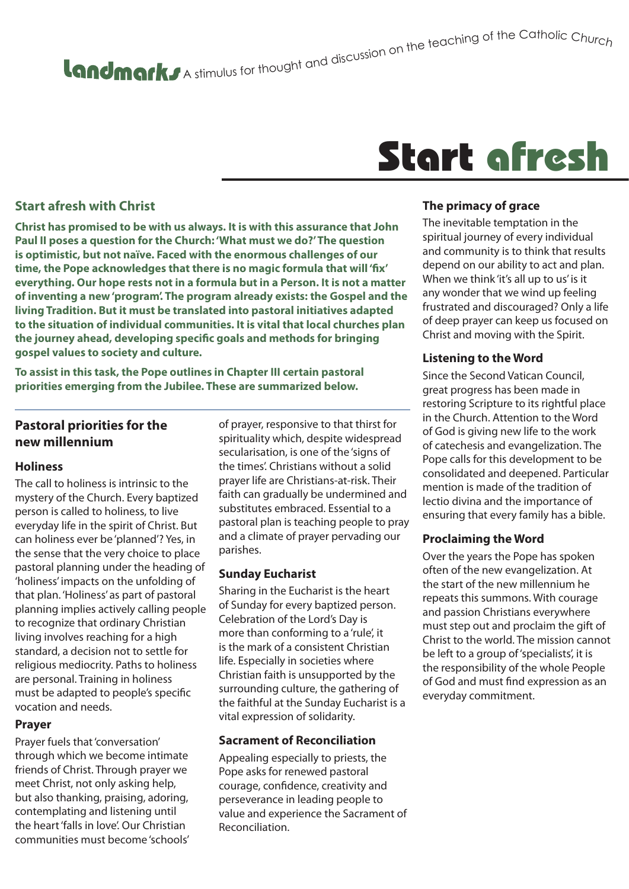# A stimulus for thought and discussion on the teaching of the Catholic Churc<sub>h</sub>

### **Start afresh with Christ**

**Christ has promised to be with us always. It is with this assurance that John Paul II poses a question for the Church: 'What must we do?' The question is optimistic, but not naïve. Faced with the enormous challenges of our time, the Pope acknowledges that there is no magic formula that will 'fix' everything. Our hope rests not in a formula but in a Person. It is not a matter of inventing a new 'program'. The program already exists: the Gospel and the living Tradition. But it must be translated into pastoral initiatives adapted to the situation of individual communities. It is vital that local churches plan the journey ahead, developing specific goals and methods for bringing gospel values to society and culture.** 

**To assist in this task, the Pope outlines in Chapter III certain pastoral priorities emerging from the Jubilee. These are summarized below.**

#### **Pastoral priorities for the new millennium**

#### **Holiness**

The call to holiness is intrinsic to the mystery of the Church. Every baptized person is called to holiness, to live everyday life in the spirit of Christ. But can holiness ever be 'planned'? Yes, in the sense that the very choice to place pastoral planning under the heading of 'holiness' impacts on the unfolding of that plan. 'Holiness' as part of pastoral planning implies actively calling people to recognize that ordinary Christian living involves reaching for a high standard, a decision not to settle for religious mediocrity. Paths to holiness are personal. Training in holiness must be adapted to people's specific vocation and needs.

#### **Prayer**

Prayer fuels that 'conversation' through which we become intimate friends of Christ. Through prayer we meet Christ, not only asking help, but also thanking, praising, adoring, contemplating and listening until the heart 'falls in love'. Our Christian communities must become 'schools' of prayer, responsive to that thirst for spirituality which, despite widespread secularisation, is one of the 'signs of the times'. Christians without a solid prayer life are Christians-at-risk. Their faith can gradually be undermined and substitutes embraced. Essential to a pastoral plan is teaching people to pray and a climate of prayer pervading our parishes.

#### **Sunday Eucharist**

Sharing in the Eucharist is the heart of Sunday for every baptized person. Celebration of the Lord's Day is more than conforming to a 'rule', it is the mark of a consistent Christian life. Especially in societies where Christian faith is unsupported by the surrounding culture, the gathering of the faithful at the Sunday Eucharist is a vital expression of solidarity.

#### **Sacrament of Reconciliation**

Appealing especially to priests, the Pope asks for renewed pastoral courage, confidence, creativity and perseverance in leading people to value and experience the Sacrament of Reconciliation.

# Start afresh

#### **The primacy of grace**

The inevitable temptation in the spiritual journey of every individual and community is to think that results depend on our ability to act and plan. When we think 'it's all up to us' is it any wonder that we wind up feeling frustrated and discouraged? Only a life of deep prayer can keep us focused on Christ and moving with the Spirit.

#### **Listening to the Word**

Since the Second Vatican Council, great progress has been made in restoring Scripture to its rightful place in the Church. Attention to the Word of God is giving new life to the work of catechesis and evangelization. The Pope calls for this development to be consolidated and deepened. Particular mention is made of the tradition of lectio divina and the importance of ensuring that every family has a bible.

#### **Proclaiming the Word**

Over the years the Pope has spoken often of the new evangelization. At the start of the new millennium he repeats this summons. With courage and passion Christians everywhere must step out and proclaim the gift of Christ to the world. The mission cannot be left to a group of 'specialists', it is the responsibility of the whole People of God and must find expression as an everyday commitment.